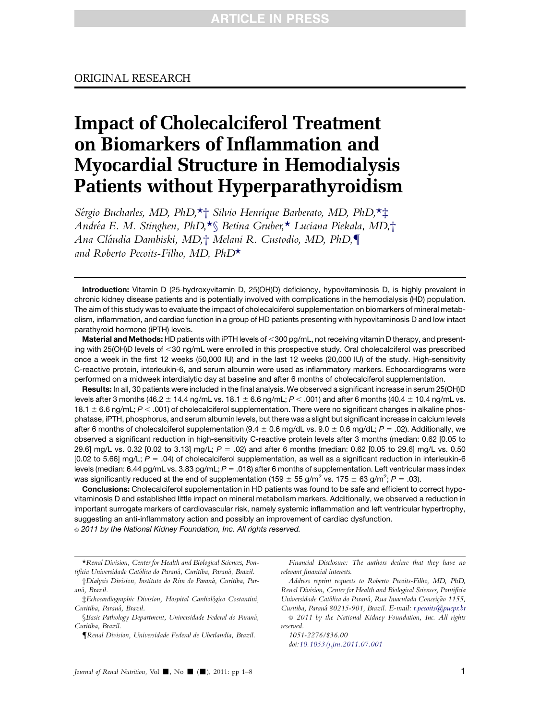# Impact of Cholecalciferol Treatment on Biomarkers of Inflammation and Myocardial Structure in Hemodialysis Patients without Hyperparathyroidism

Sergio Bucharles, MD, PhD,\*† Silvio Henrique Barberato, MD, PhD,\*‡ Andréa E. M. Stinghen, PhD,<sup>★</sup>§ Betina Gruber, <u>★</u> Luciana Piekala, MD,† Ana Cláudia Dambiski, MD,† Melani R. Custodio, MD, PhD,¶ and Roberto Pecoits-Filho, MD, PhD\*

Introduction: Vitamin D (25-hydroxyvitamin D, 25(OH)D) deficiency, hypovitaminosis D, is highly prevalent in chronic kidney disease patients and is potentially involved with complications in the hemodialysis (HD) population. The aim of this study was to evaluate the impact of cholecalciferol supplementation on biomarkers of mineral metabolism, inflammation, and cardiac function in a group of HD patients presenting with hypovitaminosis D and low intact parathyroid hormone (iPTH) levels.

Material and Methods: HD patients with iPTH levels of <300 pg/mL, not receiving vitamin D therapy, and presenting with 25(OH)D levels of <30 ng/mL were enrolled in this prospective study. Oral cholecalciferol was prescribed once a week in the first 12 weeks (50,000 IU) and in the last 12 weeks (20,000 IU) of the study. High-sensitivity C-reactive protein, interleukin-6, and serum albumin were used as inflammatory markers. Echocardiograms were performed on a midweek interdialytic day at baseline and after 6 months of cholecalciferol supplementation.

Results: In all, 30 patients were included in the final analysis. We observed a significant increase in serum 25(OH)D levels after 3 months (46.2  $\pm$  14.4 ng/mL vs. 18.1  $\pm$  6.6 ng/mL;  $P <$  .001) and after 6 months (40.4  $\pm$  10.4 ng/mL vs. 18.1  $\pm$  6.6 ng/mL;  $P <$  .001) of cholecalciferol supplementation. There were no significant changes in alkaline phosphatase, iPTH, phosphorus, and serum albumin levels, but there was a slight but significant increase in calcium levels after 6 months of cholecalciferol supplementation (9.4  $\pm$  0.6 mg/dL vs. 9.0  $\pm$  0.6 mg/dL; *P* = .02). Additionally, we observed a significant reduction in high-sensitivity C-reactive protein levels after 3 months (median: 0.62 [0.05 to 29.6] mg/L vs. 0.32 [0.02 to 3.13] mg/L;  $P = .02$ ) and after 6 months (median: 0.62 [0.05 to 29.6] mg/L vs. 0.50 [0.02 to 5.66] mg/L;  $P = .04$ ) of cholecalciferol supplementation, as well as a significant reduction in interleukin-6 levels (median: 6.44 pg/mL vs. 3.83 pg/mL;  $P = .018$ ) after 6 months of supplementation. Left ventricular mass index was significantly reduced at the end of supplementation (159  $\pm$  55 g/m<sup>2</sup> vs. 175  $\pm$  63 g/m<sup>2</sup>; P = .03).

Conclusions: Cholecalciferol supplementation in HD patients was found to be safe and efficient to correct hypovitaminosis D and established little impact on mineral metabolism markers. Additionally, we observed a reduction in important surrogate markers of cardiovascular risk, namely systemic inflammation and left ventricular hypertrophy, suggesting an anti-inflammatory action and possibly an improvement of cardiac dysfunction. *2011 by the National Kidney Foundation, Inc. All rights reserved.*

\*Renal Division, Center for Health and Biological Sciences, Pontificia Universidade Católica do Paraná, Curitiba, Paraná, Brazil.

†Dialysis Division, Instituto do Rim do Parana, Curitiba, Paraná, Brazil.

Financial Disclosure: The authors declare that they have no relevant financial interests.

Address reprint requests to Roberto Pecoits-Filho, MD, PhD, Renal Division, Center for Health and Biological Sciences, Pontifıcia Universidade Católica do Paraná, Rua Imaculada Conceição 1155, Curitiba, Paraná 80215-901, Brazil. E-mail: [r.pecoits@pucpr.br](mailto:r.pecoits@pucpr.br) 2011 by the National Kidney Foundation, Inc. All rights reserved.

1051-2276/\$36.00 doi:[10.1053/j.jrn.2011.07.001](http://dx.doi.org/10.1053/j.jrn.2011.07.001)

<sup>‡</sup>Echocardiographic Division, Hospital Cardiologico Costantini, Curitiba, Paraná, Brazil.

<sup>§</sup>Basic Pathology Department, Universidade Federal do Parana, Curitiba, Brazil.

<sup>{</sup>Renal Division, Universidade Federal de Uberlandia, Brazil.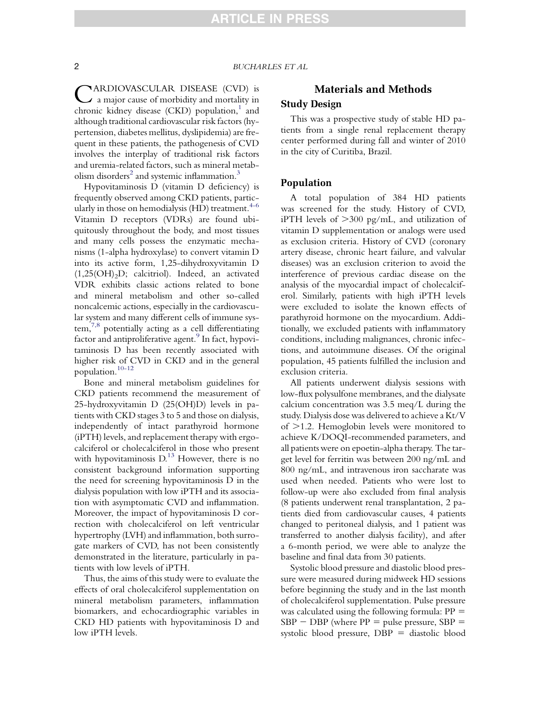CARDIOVASCULAR DISEASE (CVD) is<br>a major cause of morbidity and mortality in chronic kidney disease  $(CKD)$  population,<sup>1</sup> and although traditional cardiovascular risk factors (hypertension, diabetes mellitus, dyslipidemia) are frequent in these patients, the pathogenesis of CVD involves the interplay of traditional risk factors and uremia-related factors, such as mineral metab-olism disorders<sup>[2](#page-6-0)</sup> and systemic inflammation.<sup>3</sup>

Hypovitaminosis D (vitamin D deficiency) is frequently observed among CKD patients, partic-ularly in those on hemodialysis (HD) treatment.<sup>[4-6](#page-6-0)</sup> Vitamin D receptors (VDRs) are found ubiquitously throughout the body, and most tissues and many cells possess the enzymatic mechanisms (1-alpha hydroxylase) to convert vitamin D into its active form, 1,25-dihydroxyvitamin D (1,25(OH)2D; calcitriol). Indeed, an activated VDR exhibits classic actions related to bone and mineral metabolism and other so-called noncalcemic actions, especially in the cardiovascular system and many different cells of immune sys- $\text{tem,}^{7,8}$  potentially acting as a cell differentiating factor and antiproliferative agent. $9$  In fact, hypovitaminosis D has been recently associated with higher risk of CVD in CKD and in the general population.[10-12](#page-6-0)

Bone and mineral metabolism guidelines for CKD patients recommend the measurement of 25-hydroxyvitamin D (25(OH)D) levels in patients with CKD stages 3 to 5 and those on dialysis, independently of intact parathyroid hormone (iPTH) levels, and replacement therapy with ergocalciferol or cholecalciferol in those who present with hypovitaminosis  $D<sup>13</sup>$  $D<sup>13</sup>$  $D<sup>13</sup>$  However, there is no consistent background information supporting the need for screening hypovitaminosis D in the dialysis population with low iPTH and its association with asymptomatic CVD and inflammation. Moreover, the impact of hypovitaminosis D correction with cholecalciferol on left ventricular hypertrophy (LVH) and inflammation, both surrogate markers of CVD, has not been consistently demonstrated in the literature, particularly in patients with low levels of iPTH.

Thus, the aims of this study were to evaluate the effects of oral cholecalciferol supplementation on mineral metabolism parameters, inflammation biomarkers, and echocardiographic variables in CKD HD patients with hypovitaminosis D and low iPTH levels.

# Materials and Methods Study Design

This was a prospective study of stable HD patients from a single renal replacement therapy center performed during fall and winter of 2010 in the city of Curitiba, Brazil.

# Population

A total population of 384 HD patients was screened for the study. History of CVD, iPTH levels of  $>300$  pg/mL, and utilization of vitamin D supplementation or analogs were used as exclusion criteria. History of CVD (coronary artery disease, chronic heart failure, and valvular diseases) was an exclusion criterion to avoid the interference of previous cardiac disease on the analysis of the myocardial impact of cholecalciferol. Similarly, patients with high iPTH levels were excluded to isolate the known effects of parathyroid hormone on the myocardium. Additionally, we excluded patients with inflammatory conditions, including malignances, chronic infections, and autoimmune diseases. Of the original population, 45 patients fulfilled the inclusion and exclusion criteria.

All patients underwent dialysis sessions with low-flux polysulfone membranes, and the dialysate calcium concentration was 3.5 meq/L during the study. Dialysis dose was delivered to achieve a Kt/V of  $>1.2$ . Hemoglobin levels were monitored to achieve K/DOQI-recommended parameters, and all patients were on epoetin-alpha therapy. The target level for ferritin was between 200 ng/mL and 800 ng/mL, and intravenous iron saccharate was used when needed. Patients who were lost to follow-up were also excluded from final analysis (8 patients underwent renal transplantation, 2 patients died from cardiovascular causes, 4 patients changed to peritoneal dialysis, and 1 patient was transferred to another dialysis facility), and after a 6-month period, we were able to analyze the baseline and final data from 30 patients.

Systolic blood pressure and diastolic blood pressure were measured during midweek HD sessions before beginning the study and in the last month of cholecalciferol supplementation. Pulse pressure was calculated using the following formula:  $PP =$  $SBP - DBP$  (where  $PP = pulse$  pressure,  $SBP =$ systolic blood pressure,  $DBP =$  diastolic blood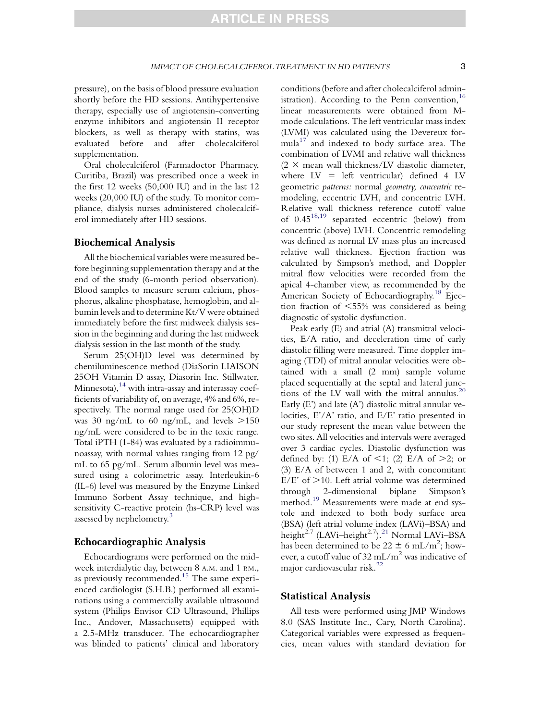pressure), on the basis of blood pressure evaluation shortly before the HD sessions. Antihypertensive therapy, especially use of angiotensin-converting enzyme inhibitors and angiotensin II receptor blockers, as well as therapy with statins, was evaluated before and after cholecalciferol supplementation.

Oral cholecalciferol (Farmadoctor Pharmacy, Curitiba, Brazil) was prescribed once a week in the first 12 weeks (50,000 IU) and in the last 12 weeks (20,000 IU) of the study. To monitor compliance, dialysis nurses administered cholecalciferol immediately after HD sessions.

#### Biochemical Analysis

All the biochemical variables were measured before beginning supplementation therapy and at the end of the study (6-month period observation). Blood samples to measure serum calcium, phosphorus, alkaline phosphatase, hemoglobin, and albumin levels and to determine Kt/V were obtained immediately before the first midweek dialysis session in the beginning and during the last midweek dialysis session in the last month of the study.

Serum 25(OH)D level was determined by chemiluminescence method (DiaSorin LIAISON 25OH Vitamin D assay, Diasorin Inc. Stillwater, Minnesota), $14$  with intra-assay and interassay coefficients of variability of, on average, 4% and 6%, respectively. The normal range used for 25(OH)D was 30 ng/mL to 60 ng/mL, and levels  $>150$ ng/mL were considered to be in the toxic range. Total iPTH (1-84) was evaluated by a radioimmunoassay, with normal values ranging from 12 pg/ mL to 65 pg/mL. Serum albumin level was measured using a colorimetric assay. Interleukin-6 (IL-6) level was measured by the Enzyme Linked Immuno Sorbent Assay technique, and highsensitivity C-reactive protein (hs-CRP) level was assessed by nephelometry.<sup>[3](#page-6-0)</sup>

# Echocardiographic Analysis

Echocardiograms were performed on the midweek interdialytic day, between 8 A.M. and 1 P.M., as previously recommended.<sup>[15](#page-7-0)</sup> The same experienced cardiologist (S.H.B.) performed all examinations using a commercially available ultrasound system (Philips Envisor CD Ultrasound, Phillips Inc., Andover, Massachusetts) equipped with a 2.5-MHz transducer. The echocardiographer was blinded to patients' clinical and laboratory

conditions (before and after cholecalciferol administration). According to the Penn convention,  $16$ linear measurements were obtained from Mmode calculations. The left ventricular mass index (LVMI) was calculated using the Devereux for- $mula<sup>17</sup>$  $mula<sup>17</sup>$  $mula<sup>17</sup>$  and indexed to body surface area. The combination of LVMI and relative wall thickness  $(2 \times$  mean wall thickness/LV diastolic diameter, where  $LV = left$  ventricular) defined 4 LV geometric patterns: normal geometry, concentric remodeling, eccentric LVH, and concentric LVH. Relative wall thickness reference cutoff value of 0.45[18,19](#page-7-0) separated eccentric (below) from concentric (above) LVH. Concentric remodeling was defined as normal LV mass plus an increased relative wall thickness. Ejection fraction was calculated by Simpson's method, and Doppler mitral flow velocities were recorded from the apical 4-chamber view, as recommended by the American Society of Echocardiography.<sup>[18](#page-7-0)</sup> Ejection fraction of  $\leq 55\%$  was considered as being diagnostic of systolic dysfunction.

Peak early (E) and atrial (A) transmitral velocities, E/A ratio, and deceleration time of early diastolic filling were measured. Time doppler imaging (TDI) of mitral annular velocities were obtained with a small (2 mm) sample volume placed sequentially at the septal and lateral junctions of the LV wall with the mitral annulus. $^{20}$  $^{20}$  $^{20}$ Early (E') and late (A') diastolic mitral annular velocities, E'/A' ratio, and E/E' ratio presented in our study represent the mean value between the two sites. All velocities and intervals were averaged over 3 cardiac cycles. Diastolic dysfunction was defined by: (1) E/A of  $\leq$ 1; (2) E/A of  $\geq$ 2; or (3) E/A of between 1 and 2, with concomitant  $E/E'$  of  $>10$ . Left atrial volume was determined through 2-dimensional biplane Simpson's method.[19](#page-7-0) Measurements were made at end systole and indexed to both body surface area (BSA) (left atrial volume index (LAVi)–BSA) and height<sup>2.7</sup> (LAVi–height<sup>2.7</sup>).<sup>[21](#page-7-0)</sup> Normal LAVi–BSA has been determined to be  $22 \pm 6$  mL/m<sup>2</sup>; however, a cutoff value of  $32 \text{ mL/m}^2$  was indicative of major cardiovascular risk.[22](#page-7-0)

### Statistical Analysis

All tests were performed using JMP Windows 8.0 (SAS Institute Inc., Cary, North Carolina). Categorical variables were expressed as frequencies, mean values with standard deviation for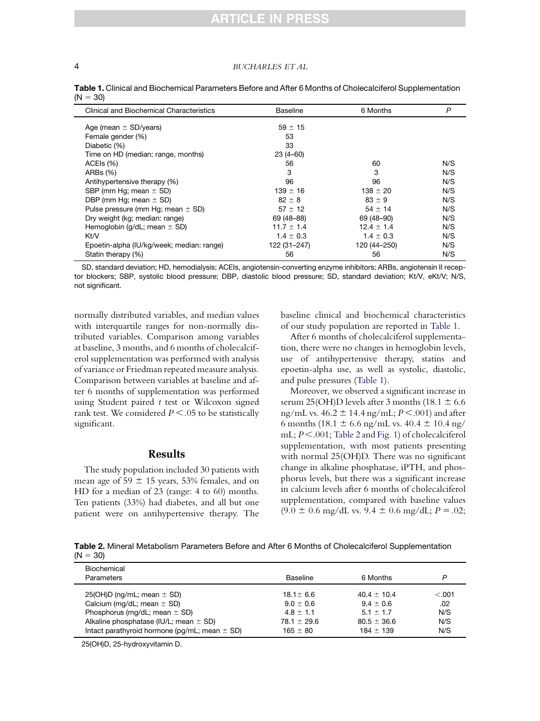#### <span id="page-3-0"></span>4 BUCHARLES ET AL

| <b>Clinical and Biochemical Characteristics</b> | <b>Baseline</b> | 6 Months       | P   |
|-------------------------------------------------|-----------------|----------------|-----|
| Age (mean $\pm$ SD/years)                       | $59 \pm 15$     |                |     |
|                                                 |                 |                |     |
| Female gender (%)                               | 53              |                |     |
| Diabetic (%)                                    | 33              |                |     |
| Time on HD (median: range, months)              | $23(4 - 60)$    |                |     |
| ACEIs (%)                                       | 56              | 60             | N/S |
| ARBs $(\%)$                                     | 3               | 3              | N/S |
| Antihypertensive therapy (%)                    | 96              | 96             | N/S |
| SBP (mm Hg; mean $\pm$ SD)                      | $139 \pm 16$    | $138 \pm 20$   | N/S |
| DBP (mm Hg; mean $\pm$ SD)                      | $82 \pm 8$      | $83 \pm 9$     | N/S |
| Pulse pressure (mm Hg; mean $\pm$ SD)           | $57 \pm 12$     | $54 \pm 14$    | N/S |
| Dry weight (kg; median: range)                  | 69 (48 - 88)    | 69 (48-90)     | N/S |
| Hemoglobin (g/dL; mean $\pm$ SD)                | $11.7 \pm 1.4$  | $12.4 \pm 1.4$ | N/S |
| Kt/V                                            | $1.4 \pm 0.3$   | $1.4 \pm 0.3$  | N/S |
| Epoetin-alpha (IU/kg/week; median: range)       | 122 (31-247)    | 120 (44-250)   | N/S |
| Statin therapy (%)                              | 56              | 56             | N/S |
|                                                 |                 |                |     |

| Table 1. Clinical and Biochemical Parameters Before and After 6 Months of Cholecalciferol Supplementation |  |
|-----------------------------------------------------------------------------------------------------------|--|
| $(N = 30)$                                                                                                |  |

SD, standard deviation; HD, hemodialysis; ACEIs, angiotensin-converting enzyme inhibitors; ARBs, angiotensin II receptor blockers; SBP, systolic blood pressure; DBP, diastolic blood pressure; SD, standard deviation; Kt/V, eKt/V; N/S, not significant.

normally distributed variables, and median values with interquartile ranges for non-normally distributed variables. Comparison among variables at baseline, 3 months, and 6 months of cholecalciferol supplementation was performed with analysis of variance or Friedman repeated measure analysis. Comparison between variables at baseline and after 6 months of supplementation was performed using Student paired  $t$  test or Wilcoxon signed rank test. We considered  $P \leq .05$  to be statistically significant.

#### Results

The study population included 30 patients with mean age of 59  $\pm$  15 years, 53% females, and on HD for a median of 23 (range: 4 to 60) months. Ten patients (33%) had diabetes, and all but one patient were on antihypertensive therapy. The baseline clinical and biochemical characteristics of our study population are reported in Table 1.

After 6 months of cholecalciferol supplementation, there were no changes in hemoglobin levels, use of antihypertensive therapy, statins and epoetin-alpha use, as well as systolic, diastolic, and pulse pressures (Table 1).

Moreover, we observed a significant increase in serum 25(OH)D levels after 3 months (18.1  $\pm$  6.6 ng/mL vs.  $46.2 \pm 14.4$  ng/mL;  $P < .001$ ) and after 6 months (18.1  $\pm$  6.6 ng/mL vs. 40.4  $\pm$  10.4 ng/ mL;  $P < .001$ ; Table 2 and [Fig. 1\)](#page-4-0) of cholecalciferol supplementation, with most patients presenting with normal 25(OH)D. There was no significant change in alkaline phosphatase, iPTH, and phosphorus levels, but there was a significant increase in calcium levels after 6 months of cholecalciferol supplementation, compared with baseline values  $(9.0 \pm 0.6 \text{ mg/dL vs. } 9.4 \pm 0.6 \text{ mg/dL}; P = .02;$ 

Table 2. Mineral Metabolism Parameters Before and After 6 Months of Cholecalciferol Supplementation  $(N = 30)$ 

| Biochemical<br>Parameters                         | Baseline       | 6 Months      | D       |
|---------------------------------------------------|----------------|---------------|---------|
| 25(OH)D (ng/mL; mean $\pm$ SD)                    | $18.1 \pm 6.6$ | $40.4 + 10.4$ | < 0.001 |
| Calcium (mg/dL; mean $\pm$ SD)                    | $9.0 \pm 0.6$  | $9.4 + 0.6$   | .02     |
| Phosphorus (mg/dL; mean $\pm$ SD)                 | $4.8 \pm 1.1$  | $5.1 + 1.7$   | N/S     |
| Alkaline phosphatase (IU/L; mean $\pm$ SD)        | $78.1 + 29.6$  | $80.5 + 36.6$ | N/S     |
| Intact parathyroid hormone (pg/mL; mean $\pm$ SD) | $165 \pm 80$   | $184 + 139$   | N/S     |

25(OH)D, 25-hydroxyvitamin D.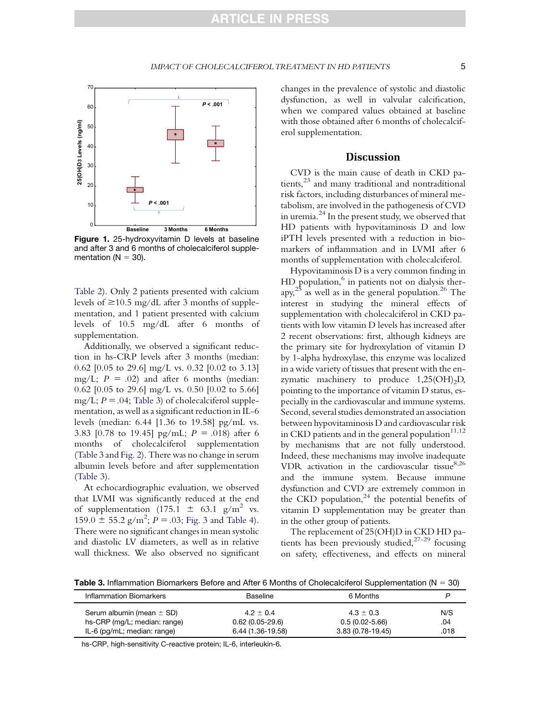IMPACT OF CHOLECALCIFEROL TREATMENT IN HD PATIENTS 5

<span id="page-4-0"></span>

Figure 1. 25-hydroxyvitamin D levels at baseline and after 3 and 6 months of cholecalciferol supplementation ( $N = 30$ ).

[Table 2](#page-3-0)). Only 2 patients presented with calcium levels of  $\geq$ 10.5 mg/dL after 3 months of supplementation, and 1 patient presented with calcium levels of 10.5 mg/dL after 6 months of supplementation.

Additionally, we observed a significant reduction in hs-CRP levels after 3 months (median: 0.62 [0.05 to 29.6] mg/L vs. 0.32 [0.02 to 3.13] mg/L;  $P = .02$ ) and after 6 months (median: 0.62 [0.05 to 29.6] mg/L vs. 0.50 [0.02 to 5.66] mg/L;  $P = .04$ ; Table 3) of cholecalciferol supplementation, as well as a significant reduction in IL-6 levels (median: 6.44 [1.36 to 19.58] pg/mL vs. 3.83 [0.78 to 19.45] pg/mL;  $P = .018$ ) after 6 months of cholecalciferol supplementation (Table 3 and [Fig. 2](#page-5-0)). There was no change in serum albumin levels before and after supplementation (Table 3).

At echocardiographic evaluation, we observed that LVMI was significantly reduced at the end of supplementation (175.1  $\pm$  63.1 g/m<sup>2</sup> vs.  $159.0 \pm 55.2$  g/m<sup>2</sup>;  $P = .03$ ; [Fig. 3](#page-5-0) and [Table 4](#page-5-0)). There were no significant changes in mean systolic and diastolic LV diameters, as well as in relative wall thickness. We also observed no significant changes in the prevalence of systolic and diastolic dysfunction, as well in valvular calcification, when we compared values obtained at baseline with those obtained after 6 months of cholecalciferol supplementation.

# **Discussion**

CVD is the main cause of death in CKD patients, $23$  and many traditional and nontraditional risk factors, including disturbances of mineral metabolism, are involved in the pathogenesis of CVD in uremia.[24](#page-7-0) In the present study, we observed that HD patients with hypovitaminosis D and low iPTH levels presented with a reduction in biomarkers of inflammation and in LVMI after 6 months of supplementation with cholecalciferol.

Hypovitaminosis D is a very common finding in  $HD$  population, $6$  in patients not on dialysis therapy, $2^5$  as well as in the general population.<sup>26</sup> The interest in studying the mineral effects of supplementation with cholecalciferol in CKD patients with low vitamin D levels has increased after 2 recent observations: first, although kidneys are the primary site for hydroxylation of vitamin D by 1-alpha hydroxylase, this enzyme was localized in a wide variety of tissues that present with the enzymatic machinery to produce  $1,25(OH)<sub>2</sub>D$ , pointing to the importance of vitamin D status, especially in the cardiovascular and immune systems. Second, several studies demonstrated an association between hypovitaminosis D and cardiovascular risk in CKD patients and in the general population $11,12$ by mechanisms that are not fully understood. Indeed, these mechanisms may involve inadequate VDR activation in the cardiovascular tissue<sup>8,26</sup> and the immune system. Because immune dysfunction and CVD are extremely common in the CKD population, $24$  the potential benefits of vitamin D supplementation may be greater than in the other group of patients.

The replacement of 25(OH)D in CKD HD patients has been previously studied,  $27-29$  focusing on safety, effectiveness, and effects on mineral

**Table 3.** Inflammation Biomarkers Before and After 6 Months of Cholecalciferol Supplementation ( $N = 30$ )

| Inflammation Biomarkers       | Baseline          | 6 Months           |      |
|-------------------------------|-------------------|--------------------|------|
| Serum albumin (mean $\pm$ SD) | $4.2 + 0.4$       | $4.3 \pm 0.3$      | N/S  |
| hs-CRP (mg/L; median: range)  | $0.62(0.05-29.6)$ | $0.5(0.02 - 5.66)$ | .04  |
| IL-6 (pg/mL; median: range)   | 6.44 (1.36-19.58) | 3.83 (0.78-19.45)  | .018 |

hs-CRP, high-sensitivity C-reactive protein; IL-6, interleukin-6.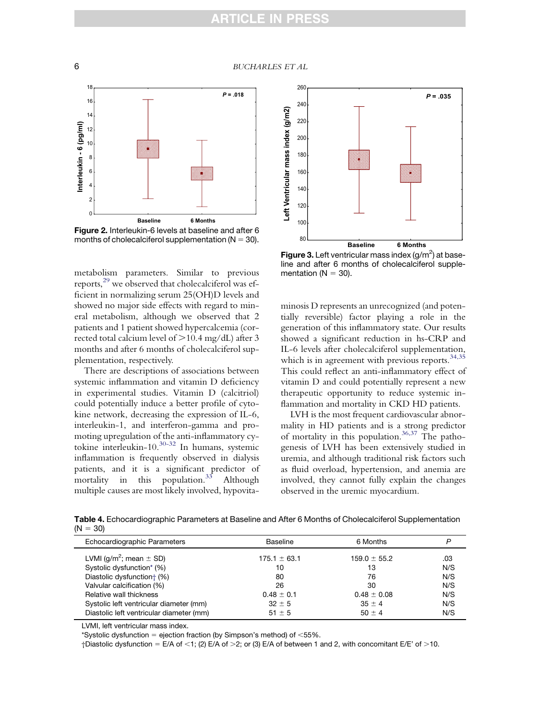<span id="page-5-0"></span>

Figure 2. Interleukin-6 levels at baseline and after 6 months of cholecalciferol supplementation ( $N = 30$ ). 80

metabolism parameters. Similar to previous reports[,29](#page-7-0) we observed that cholecalciferol was efficient in normalizing serum 25(OH)D levels and showed no major side effects with regard to mineral metabolism, although we observed that 2 patients and 1 patient showed hypercalcemia (corrected total calcium level of  $>$ 10.4 mg/dL) after 3 months and after 6 months of cholecalciferol supplementation, respectively.

There are descriptions of associations between systemic inflammation and vitamin D deficiency in experimental studies. Vitamin D (calcitriol) could potentially induce a better profile of cytokine network, decreasing the expression of IL-6, interleukin-1, and interferon-gamma and promoting upregulation of the anti-inflammatory cytokine interleukin-10. $30-32$  In humans, systemic inflammation is frequently observed in dialysis patients, and it is a significant predictor of mortality in this population.<sup>[33](#page-7-0)</sup> Although multiple causes are most likely involved, hypovita-



Figure 3. Left ventricular mass index  $(g/m^2)$  at baseline and after 6 months of cholecalciferol supplementation ( $N = 30$ ).

minosis D represents an unrecognized (and potentially reversible) factor playing a role in the generation of this inflammatory state. Our results showed a significant reduction in hs-CRP and IL-6 levels after cholecalciferol supplementation, which is in agreement with previous reports.<sup>[34,35](#page-7-0)</sup> This could reflect an anti-inflammatory effect of vitamin D and could potentially represent a new therapeutic opportunity to reduce systemic inflammation and mortality in CKD HD patients.

LVH is the most frequent cardiovascular abnormality in HD patients and is a strong predictor of mortality in this population.<sup>[36,37](#page-7-0)</sup> The pathogenesis of LVH has been extensively studied in uremia, and although traditional risk factors such as fluid overload, hypertension, and anemia are involved, they cannot fully explain the changes observed in the uremic myocardium.

Table 4. Echocardiographic Parameters at Baseline and After 6 Months of Cholecalciferol Supplementation  $(N = 30)$ 

| Echocardiographic Parameters             | Baseline         | 6 Months         |     |
|------------------------------------------|------------------|------------------|-----|
| LVMI (g/m <sup>2</sup> ; mean $\pm$ SD)  | $175.1 \pm 63.1$ | $159.0 \pm 55.2$ | .03 |
| Systolic dysfunction* (%)                | 10               | 13               | N/S |
| Diastolic dysfunction+ (%)               | 80               | 76               | N/S |
| Valvular calcification (%)               | 26               | 30               | N/S |
| Relative wall thickness                  | $0.48 \pm 0.1$   | $0.48 \pm 0.08$  | N/S |
| Systolic left ventricular diameter (mm)  | $32 \pm 5$       | $35 \pm 4$       | N/S |
| Diastolic left ventricular diameter (mm) | $51 \pm 5$       | $50 + 4$         | N/S |
|                                          |                  |                  |     |

LVMI, left ventricular mass index.

\*Systolic dysfunction = ejection fraction (by Simpson's method) of  $<55\%$ .

 $\dagger$ Diastolic dysfunction = E/A of <1; (2) E/A of >2; or (3) E/A of between 1 and 2, with concomitant E/E' of >10.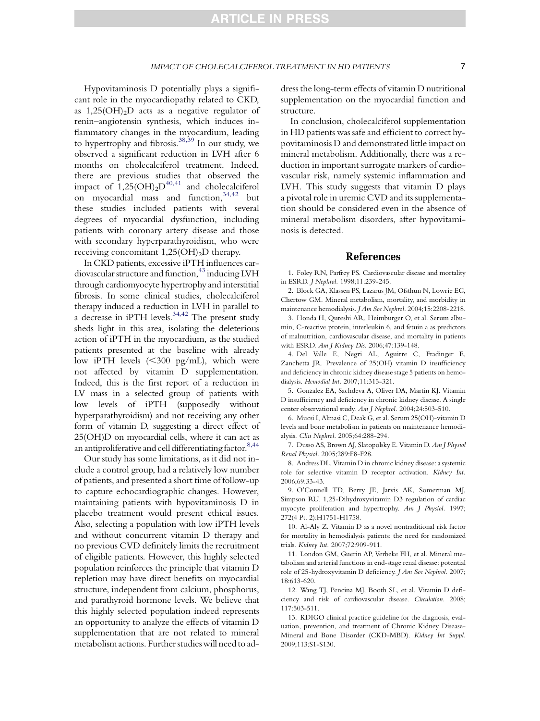<span id="page-6-0"></span>Hypovitaminosis D potentially plays a significant role in the myocardiopathy related to CKD, as  $1,25(OH)<sub>2</sub>D$  acts as a negative regulator of renin–angiotensin synthesis, which induces inflammatory changes in the myocardium, leading to hypertrophy and fibrosis[.38,39](#page-7-0) In our study, we observed a significant reduction in LVH after 6 months on cholecalciferol treatment. Indeed, there are previous studies that observed the impact of  $1,25(OH)_2D^{40,41}$  and cholecalciferol on myocardial mass and function, [34,42](#page-7-0) but these studies included patients with several degrees of myocardial dysfunction, including patients with coronary artery disease and those with secondary hyperparathyroidism, who were receiving concomitant  $1,25(OH)_{2}D$  therapy.

In CKD patients, excessive iPTH influences cardiovascular structure and function,<sup>43</sup> inducing LVH through cardiomyocyte hypertrophy and interstitial fibrosis. In some clinical studies, cholecalciferol therapy induced a reduction in LVH in parallel to a decrease in iPTH levels.<sup>34,42</sup> The present study sheds light in this area, isolating the deleterious action of iPTH in the myocardium, as the studied patients presented at the baseline with already low iPTH levels  $( $300 \text{ pg/mL}$ ), which were$ not affected by vitamin D supplementation. Indeed, this is the first report of a reduction in LV mass in a selected group of patients with low levels of iPTH (supposedly without hyperparathyroidism) and not receiving any other form of vitamin D, suggesting a direct effect of 25(OH)D on myocardial cells, where it can act as an antiproliferative and cell differentiating factor.<sup>8,44</sup>

Our study has some limitations, as it did not include a control group, had a relatively low number of patients, and presented a short time of follow-up to capture echocardiographic changes. However, maintaining patients with hypovitaminosis D in placebo treatment would present ethical issues. Also, selecting a population with low iPTH levels and without concurrent vitamin D therapy and no previous CVD definitely limits the recruitment of eligible patients. However, this highly selected population reinforces the principle that vitamin D repletion may have direct benefits on myocardial structure, independent from calcium, phosphorus, and parathyroid hormone levels. We believe that this highly selected population indeed represents an opportunity to analyze the effects of vitamin D supplementation that are not related to mineral metabolism actions. Further studies will need to address the long-term effects of vitamin D nutritional supplementation on the myocardial function and structure.

In conclusion, cholecalciferol supplementation in HD patients was safe and efficient to correct hypovitaminosis D and demonstrated little impact on mineral metabolism. Additionally, there was a reduction in important surrogate markers of cardiovascular risk, namely systemic inflammation and LVH. This study suggests that vitamin D plays a pivotal role in uremic CVD and its supplementation should be considered even in the absence of mineral metabolism disorders, after hypovitaminosis is detected.

# References

1. Foley RN, Parfrey PS. Cardiovascular disease and mortality in ESRD. J Nephrol. 1998;11:239-245.

2. Block GA, Klassen PS, Lazarus JM, Ofsthun N, Lowrie EG, Chertow GM. Mineral metabolism, mortality, and morbidity in maintenance hemodialysis. J Am Soc Nephrol. 2004;15:2208-2218.

3. Honda H, Qureshi AR, Heimburger O, et al. Serum albumin, C-reactive protein, interleukin 6, and fetuin a as predictors of malnutrition, cardiovascular disease, and mortality in patients with ESRD. Am J Kidney Dis. 2006;47:139-148.

4. Del Valle E, Negri AL, Aguirre C, Fradinger E, Zanchetta JR. Prevalence of 25(OH) vitamin D insufficiency and deficiency in chronic kidney disease stage 5 patients on hemodialysis. Hemodial Int. 2007;11:315-321.

5. Gonzalez EA, Sachdeva A, Oliver DA, Martin KJ. Vitamin D insufficiency and deficiency in chronic kidney disease. A single center observational study. Am J Nephrol. 2004;24:503-510.

6. Mucsi I, Almasi C, Deak G, et al. Serum 25(OH)-vitamin D levels and bone metabolism in patients on maintenance hemodialysis. Clin Nephrol. 2005;64:288-294.

7. Dusso AS, Brown AJ, Slatopolsky E. Vitamin D. Am J Physiol Renal Physiol. 2005;289:F8-F28.

8. Andress DL. Vitamin D in chronic kidney disease: a systemic role for selective vitamin D receptor activation. Kidney Int. 2006;69:33-43.

9. O'Connell TD, Berry JE, Jarvis AK, Somerman MJ, Simpson RU. 1,25-Dihydroxyvitamin D3 regulation of cardiac myocyte proliferation and hypertrophy. Am J Physiol. 1997; 272(4 Pt. 2):H1751-H1758.

10. Al-Aly Z. Vitamin D as a novel nontraditional risk factor for mortality in hemodialysis patients: the need for randomized trials. Kidney Int. 2007;72:909-911.

11. London GM, Guerin AP, Verbeke FH, et al. Mineral metabolism and arterial functions in end-stage renal disease: potential role of 25-hydroxyvitamin D deficiency. J Am Soc Nephrol. 2007; 18:613-620.

12. Wang TJ, Pencina MJ, Booth SL, et al. Vitamin D deficiency and risk of cardiovascular disease. Circulation. 2008; 117:503-511.

13. KDIGO clinical practice guideline for the diagnosis, evaluation, prevention, and treatment of Chronic Kidney Disease-Mineral and Bone Disorder (CKD-MBD). Kidney Int Suppl. 2009;113:S1-S130.